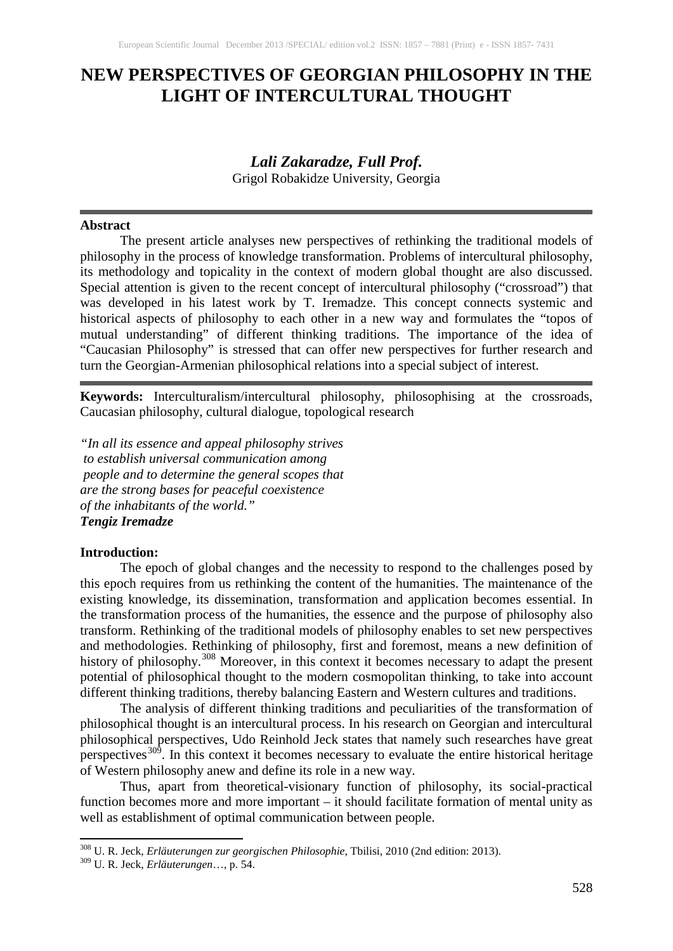# **NEW PERSPECTIVES OF GEORGIAN PHILOSOPHY IN THE LIGHT OF INTERCULTURAL THOUGHT**

## *Lali Zakaradze, Full Prof.*

Grigol Robakidze University, Georgia

#### **Abstract**

The present article analyses new perspectives of rethinking the traditional models of philosophy in the process of knowledge transformation. Problems of intercultural philosophy, its methodology and topicality in the context of modern global thought are also discussed. Special attention is given to the recent concept of intercultural philosophy ("crossroad") that was developed in his latest work by T. Iremadze. This concept connects systemic and historical aspects of philosophy to each other in a new way and formulates the "topos of mutual understanding" of different thinking traditions. The importance of the idea of "Caucasian Philosophy" is stressed that can offer new perspectives for further research and turn the Georgian-Armenian philosophical relations into a special subject of interest.

**Keywords:** Interculturalism/intercultural philosophy, philosophising at the crossroads, Caucasian philosophy, cultural dialogue, topological research

*"In all its essence and appeal philosophy strives to establish universal communication among people and to determine the general scopes that are the strong bases for peaceful coexistence of the inhabitants of the world." Tengiz Iremadze*

## **Introduction:**

The epoch of global changes and the necessity to respond to the challenges posed by this epoch requires from us rethinking the content of the humanities. The maintenance of the existing knowledge, its dissemination, transformation and application becomes essential. In the transformation process of the humanities, the essence and the purpose of philosophy also transform. Rethinking of the traditional models of philosophy enables to set new perspectives and methodologies. Rethinking of philosophy, first and foremost, means a new definition of history of philosophy.<sup>[308](#page-0-0)</sup> Moreover, in this context it becomes necessary to adapt the present potential of philosophical thought to the modern cosmopolitan thinking, to take into account different thinking traditions, thereby balancing Eastern and Western cultures and traditions.

The analysis of different thinking traditions and peculiarities of the transformation of philosophical thought is an intercultural process. In his research on Georgian and intercultural philosophical perspectives, Udo Reinhold Jeck states that namely such researches have great perspectives<sup>[309](#page-0-1)</sup>. In this context it becomes necessary to evaluate the entire historical heritage of Western philosophy anew and define its role in a new way.

Thus, apart from theoretical-visionary function of philosophy, its social-practical function becomes more and more important – it should facilitate formation of mental unity as well as establishment of optimal communication between people.

<span id="page-0-1"></span><span id="page-0-0"></span><sup>308</sup> U. R. Jeck, *Erläuterungen zur georgischen Philosophie*, Tbilisi, 2010 (2nd edition: 2013). <sup>309</sup> U. R. Jeck, *Erläuterungen*…, p. 54.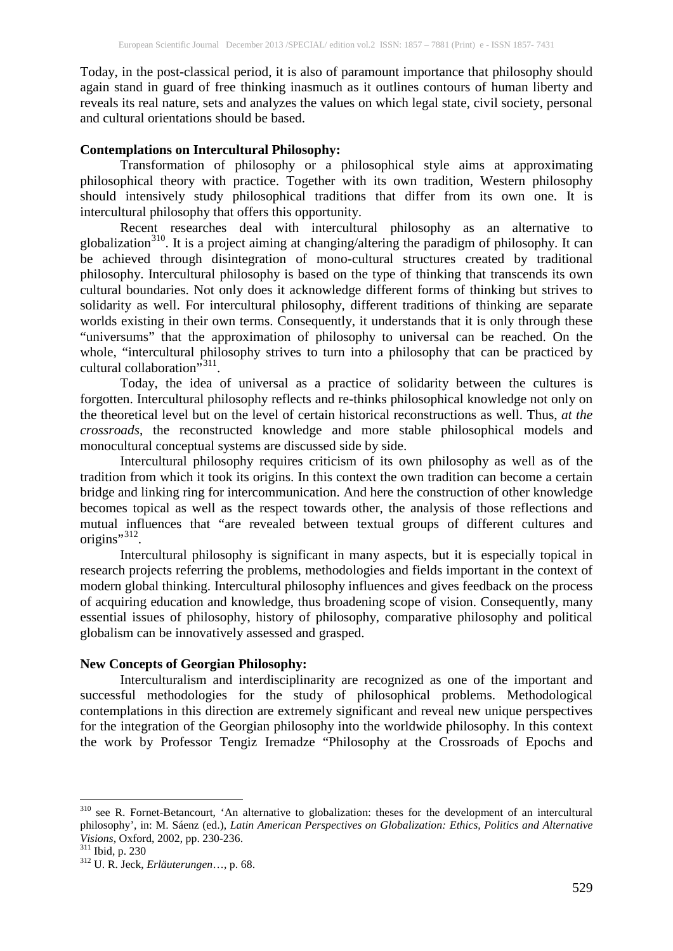Today, in the post-classical period, it is also of paramount importance that philosophy should again stand in guard of free thinking inasmuch as it outlines contours of human liberty and reveals its real nature, sets and analyzes the values on which legal state, civil society, personal and cultural orientations should be based.

## **Contemplations on Intercultural Philosophy:**

Transformation of philosophy or a philosophical style aims at approximating philosophical theory with practice. Together with its own tradition, Western philosophy should intensively study philosophical traditions that differ from its own one. It is intercultural philosophy that offers this opportunity.

Recent researches deal with intercultural philosophy as an alternative to globalization<sup>[310](#page-1-0)</sup>. It is a project aiming at changing/altering the paradigm of philosophy. It can be achieved through disintegration of mono-cultural structures created by traditional philosophy. Intercultural philosophy is based on the type of thinking that transcends its own cultural boundaries. Not only does it acknowledge different forms of thinking but strives to solidarity as well. For intercultural philosophy, different traditions of thinking are separate worlds existing in their own terms. Consequently, it understands that it is only through these "universums" that the approximation of philosophy to universal can be reached. On the whole, "intercultural philosophy strives to turn into a philosophy that can be practiced by cultural collaboration"<sup>[311](#page-1-1)</sup>.

Today, the idea of universal as a practice of solidarity between the cultures is forgotten. Intercultural philosophy reflects and re-thinks philosophical knowledge not only on the theoretical level but on the level of certain historical reconstructions as well. Thus, *at the crossroads*, the reconstructed knowledge and more stable philosophical models and monocultural conceptual systems are discussed side by side.

Intercultural philosophy requires criticism of its own philosophy as well as of the tradition from which it took its origins. In this context the own tradition can become a certain bridge and linking ring for intercommunication. And here the construction of other knowledge becomes topical as well as the respect towards other, the analysis of those reflections and mutual influences that "are revealed between textual groups of different cultures and origins", [312](#page-1-2).

Intercultural philosophy is significant in many aspects, but it is especially topical in research projects referring the problems, methodologies and fields important in the context of modern global thinking. Intercultural philosophy influences and gives feedback on the process of acquiring education and knowledge, thus broadening scope of vision. Consequently, many essential issues of philosophy, history of philosophy, comparative philosophy and political globalism can be innovatively assessed and grasped.

#### **New Concepts of Georgian Philosophy:**

Interculturalism and interdisciplinarity are recognized as one of the important and successful methodologies for the study of philosophical problems. Methodological contemplations in this direction are extremely significant and reveal new unique perspectives for the integration of the Georgian philosophy into the worldwide philosophy. In this context the work by Professor Tengiz Iremadze "Philosophy at the Crossroads of Epochs and

<span id="page-1-0"></span><sup>310</sup> see R. Fornet-Betancourt, 'An alternative to globalization: theses for the development of an intercultural philosophy', in: M. Sáenz (ed.), *Latin American Perspectives on Globalization: Ethics, Politics and Alternative*

<span id="page-1-2"></span><span id="page-1-1"></span>

<sup>&</sup>lt;sup>311</sup> Ibid, p. 230<br><sup>312</sup> U. R. Jeck, *Erläuterungen*…, p. 68.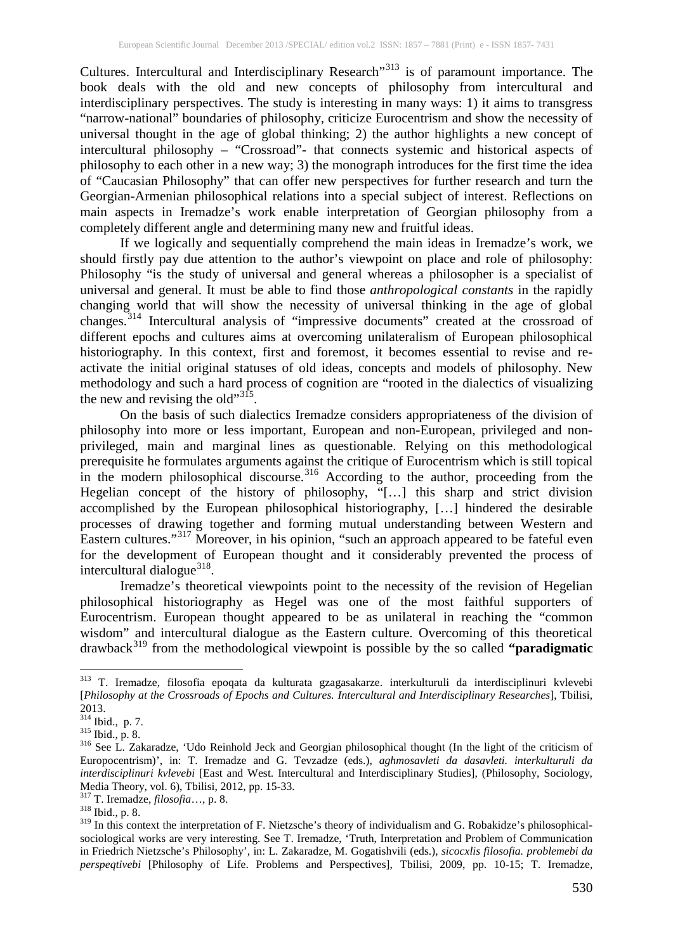Cultures. Intercultural and Interdisciplinary Research<sup>[313](#page-2-0)</sup> is of paramount importance. The book deals with the old and new concepts of philosophy from intercultural and interdisciplinary perspectives. The study is interesting in many ways: 1) it aims to transgress "narrow-national" boundaries of philosophy, criticize Eurocentrism and show the necessity of universal thought in the age of global thinking; 2) the author highlights a new concept of intercultural philosophy – "Crossroad"- that connects systemic and historical aspects of philosophy to each other in a new way; 3) the monograph introduces for the first time the idea of "Caucasian Philosophy" that can offer new perspectives for further research and turn the Georgian-Armenian philosophical relations into a special subject of interest. Reflections on main aspects in Iremadze's work enable interpretation of Georgian philosophy from a completely different angle and determining many new and fruitful ideas.

If we logically and sequentially comprehend the main ideas in Iremadze's work, we should firstly pay due attention to the author's viewpoint on place and role of philosophy: Philosophy "is the study of universal and general whereas a philosopher is a specialist of universal and general. It must be able to find those *anthropological constants* in the rapidly changing world that will show the necessity of universal thinking in the age of global changes. [314](#page-2-1) Intercultural analysis of "impressive documents" created at the crossroad of different epochs and cultures aims at overcoming unilateralism of European philosophical historiography. In this context, first and foremost, it becomes essential to revise and reactivate the initial original statuses of old ideas, concepts and models of philosophy. New methodology and such a hard process of cognition are "rooted in the dialectics of visualizing the new and revising the old" $3<sup>15</sup>$ .

On the basis of such dialectics Iremadze considers appropriateness of the division of philosophy into more or less important, European and non-European, privileged and nonprivileged, main and marginal lines as questionable. Relying on this methodological prerequisite he formulates arguments against the critique of Eurocentrism which is still topical in the modern philosophical discourse.<sup>[316](#page-2-3)</sup> According to the author, proceeding from the Hegelian concept of the history of philosophy, "[…] this sharp and strict division accomplished by the European philosophical historiography, […] hindered the desirable processes of drawing together and forming mutual understanding between Western and Eastern cultures."[317](#page-2-4) Moreover, in his opinion, "such an approach appeared to be fateful even for the development of European thought and it considerably prevented the process of intercultural dialogue<sup>[318](#page-2-5)</sup>.

Iremadze's theoretical viewpoints point to the necessity of the revision of Hegelian philosophical historiography as Hegel was one of the most faithful supporters of Eurocentrism. European thought appeared to be as unilateral in reaching the "common wisdom" and intercultural dialogue as the Eastern culture. Overcoming of this theoretical drawback[319](#page-2-6) from the methodological viewpoint is possible by the so called **"paradigmatic**

<span id="page-2-0"></span><sup>313</sup> T. Iremadze, filosofia epoqata da kulturata gzagasakarze. interkulturuli da interdisciplinuri kvlevebi [*Philosophy at the Crossroads of Epochs and Cultures. Intercultural and Interdisciplinary Researches*], Tbilisi,

<span id="page-2-1"></span>

<span id="page-2-3"></span><span id="page-2-2"></span><sup>&</sup>lt;sup>315</sup> Ibid., p. 8.<br><sup>315</sup> See L. Zakaradze, 'Udo Reinhold Jeck and Georgian philosophical thought (In the light of the criticism of Europocentrism)', in: T. Iremadze and G. Tevzadze (eds.), *aghmosavleti da dasavleti. interkulturuli da interdisciplinuri kvlevebi* [East and West. Intercultural and Interdisciplinary Studies], (Philosophy, Sociology, Media Theory, vol. 6), Tbilisi, 2012, pp. 15-33. <sup>317</sup> T. Iremadze, *filosofia*…, p. 8. <sup>318</sup> Ibid., p. 8.

<span id="page-2-4"></span>

<span id="page-2-6"></span><span id="page-2-5"></span><sup>&</sup>lt;sup>319</sup> In this context the interpretation of F. Nietzsche's theory of individualism and G. Robakidze's philosophicalsociological works are very interesting. See T. Iremadze, 'Truth, Interpretation and Problem of Communication in Friedrich Nietzsche's Philosophy', in: L. Zakaradze, M. Gogatishvili (eds.), *sicocxlis filosofia. problemebi da perspeqtivebi* [Philosophy of Life. Problems and Perspectives], Tbilisi, 2009, pp. 10-15; T. Iremadze,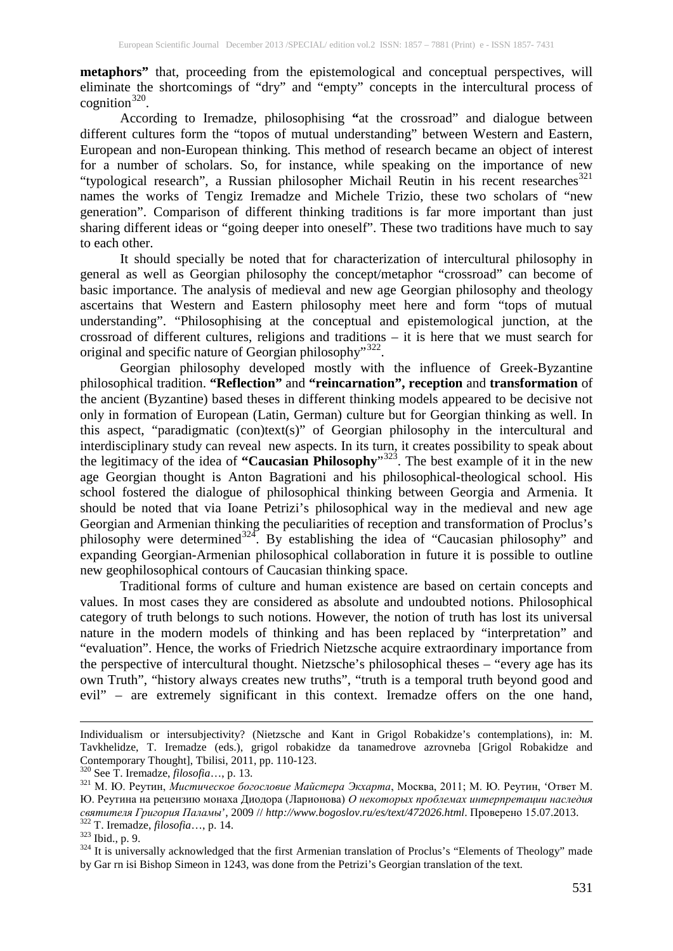**metaphors**" that, proceeding from the epistemological and conceptual perspectives, will eliminate the shortcomings of "dry" and "empty" concepts in the intercultural process of cognition $320$ .

According to Iremadze, philosophising **"**at the crossroad" and dialogue between different cultures form the "topos of mutual understanding" between Western and Eastern, European and non-European thinking. This method of research became an object of interest for a number of scholars. So, for instance, while speaking on the importance of new "typological research", a Russian philosopher Michail Reutin in his recent researches<sup>[321](#page-3-1)</sup> names the works of Tengiz Iremadze and Michele Trizio, these two scholars of "new generation". Comparison of different thinking traditions is far more important than just sharing different ideas or "going deeper into oneself". These two traditions have much to say to each other.

It should specially be noted that for characterization of intercultural philosophy in general as well as Georgian philosophy the concept/metaphor "crossroad" can become of basic importance. The analysis of medieval and new age Georgian philosophy and theology ascertains that Western and Eastern philosophy meet here and form "tops of mutual understanding". "Philosophising at the conceptual and epistemological junction, at the crossroad of different cultures, religions and traditions – it is here that we must search for original and specific nature of Georgian philosophy"<sup>[322](#page-3-2)</sup>.

Georgian philosophy developed mostly with the influence of Greek-Byzantine philosophical tradition. **"Reflection"** and **"reincarnation", reception** and **transformation** of the ancient (Byzantine) based theses in different thinking models appeared to be decisive not only in formation of European (Latin, German) culture but for Georgian thinking as well. In this aspect, "paradigmatic (con)text(s)" of Georgian philosophy in the intercultural and interdisciplinary study can reveal new aspects. In its turn, it creates possibility to speak about the legitimacy of the idea of **"Caucasian Philosophy**"[323](#page-3-3) . The best example of it in the new age Georgian thought is Anton Bagrationi and his philosophical-theological school. His school fostered the dialogue of philosophical thinking between Georgia and Armenia. It should be noted that via Ioane Petrizi's philosophical way in the medieval and new age Georgian and Armenian thinking the peculiarities of reception and transformation of Proclus's philosophy were determined<sup>[324](#page-3-4)</sup>. By establishing the idea of "Caucasian philosophy" and expanding Georgian-Armenian philosophical collaboration in future it is possible to outline new geophilosophical contours of Caucasian thinking space.

Traditional forms of culture and human existence are based on certain concepts and values. In most cases they are considered as absolute and undoubted notions. Philosophical category of truth belongs to such notions. However, the notion of truth has lost its universal nature in the modern models of thinking and has been replaced by "interpretation" and "evaluation". Hence, the works of Friedrich Nietzsche acquire extraordinary importance from the perspective of intercultural thought. Nietzsche's philosophical theses – "every age has its own Truth", "history always creates new truths", "truth is a temporal truth beyond good and evil" – are extremely significant in this context. Iremadze offers on the one hand,

 $\overline{a}$ 

Individualism or intersubjectivity? (Nietzsche and Kant in Grigol Robakidze's contemplations), in: M. Tavkhelidze, T. Iremadze (eds.), grigol robakidze da tanamedrove azrovneba [Grigol Robakidze and

<span id="page-3-1"></span><span id="page-3-0"></span><sup>&</sup>lt;sup>320</sup> See T. Iremadze, *filosofia*…, p. 13.<br><sup>321</sup> М. Ю. Реутин, *Мистическое богословие Майстера Экхарта*, Москва, 2011; М. Ю. Реутин, *'Ответ М.* Ю. Реутина на рецензию монаха Диодора (Ларионова) *О некоторых проблемах интерпретации наследия* COMPRESS TREASURED AND THE SERVICE SERVICE SERVICE SERVICE STREAM AND 322 T. Iremadze, filosofia..., p. 14.<br>
322 T. Iremadze, filosofia..., p. 14.<br>
323 Ibid., p. 9.<br>
324 It is universally acknowledged that the first Armeni

<span id="page-3-3"></span><span id="page-3-2"></span>

<span id="page-3-4"></span>by Gar rn isi Bishop Simeon in 1243, was done from the Petrizi's Georgian translation of the text.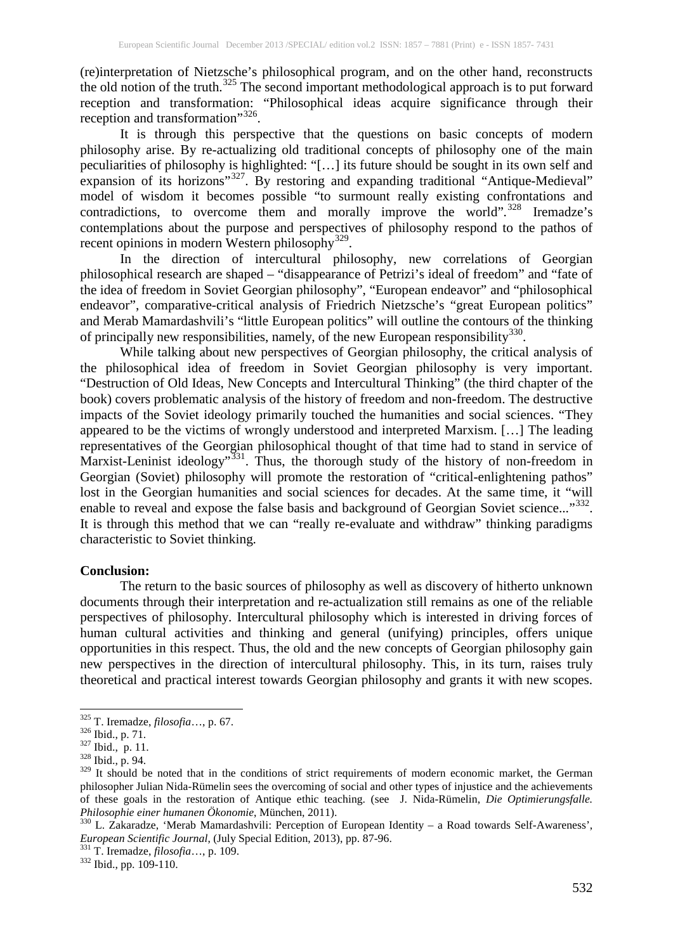(re)interpretation of Nietzsche's philosophical program, and on the other hand, reconstructs the old notion of the truth.[325](#page-4-0) The second important methodological approach is to put forward reception and transformation: "Philosophical ideas acquire significance through their reception and transformation"<sup>[326](#page-4-1)</sup>.

It is through this perspective that the questions on basic concepts of modern philosophy arise. By re-actualizing old traditional concepts of philosophy one of the main peculiarities of philosophy is highlighted: "[…] its future should be sought in its own self and expansion of its horizons"<sup>[327](#page-4-2)</sup>. By restoring and expanding traditional "Antique-Medieval" model of wisdom it becomes possible "to surmount really existing confrontations and contradictions, to overcome them and morally improve the world".<sup>[328](#page-4-3)</sup> Iremadze's contemplations about the purpose and perspectives of philosophy respond to the pathos of recent opinions in modern Western philosophy<sup>[329](#page-4-4)</sup>.

In the direction of intercultural philosophy, new correlations of Georgian philosophical research are shaped – "disappearance of Petrizi's ideal of freedom" and "fate of the idea of freedom in Soviet Georgian philosophy", "European endeavor" and "philosophical endeavor", comparative-critical analysis of Friedrich Nietzsche's "great European politics" and Merab Mamardashvili's "little European politics" will outline the contours of the thinking of principally new responsibilities, namely, of the new European responsibility<sup>[330](#page-4-5)</sup>.

While talking about new perspectives of Georgian philosophy, the critical analysis of the philosophical idea of freedom in Soviet Georgian philosophy is very important. "Destruction of Old Ideas, New Concepts and Intercultural Thinking" (the third chapter of the book) covers problematic analysis of the history of freedom and non-freedom. The destructive impacts of the Soviet ideology primarily touched the humanities and social sciences. "They appeared to be the victims of wrongly understood and interpreted Marxism. […] The leading representatives of the Georgian philosophical thought of that time had to stand in service of Marxist-Leninist ideology"<sup>[331](#page-4-6)</sup>. Thus, the thorough study of the history of non-freedom in Georgian (Soviet) philosophy will promote the restoration of "critical-enlightening pathos" lost in the Georgian humanities and social sciences for decades. At the same time, it "will enable to reveal and expose the false basis and background of Georgian Soviet science..."<sup>[332](#page-4-7)</sup>. It is through this method that we can "really re-evaluate and withdraw" thinking paradigms characteristic to Soviet thinking.

#### **Conclusion:**

The return to the basic sources of philosophy as well as discovery of hitherto unknown documents through their interpretation and re-actualization still remains as one of the reliable perspectives of philosophy. Intercultural philosophy which is interested in driving forces of human cultural activities and thinking and general (unifying) principles, offers unique opportunities in this respect. Thus, the old and the new concepts of Georgian philosophy gain new perspectives in the direction of intercultural philosophy. This, in its turn, raises truly theoretical and practical interest towards Georgian philosophy and grants it with new scopes.

<span id="page-4-6"></span>

<span id="page-4-7"></span>

<span id="page-4-0"></span><sup>325</sup> T. Iremadze, *filosofia*…, p. 67. <sup>326</sup> Ibid., p. 71. <sup>327</sup> Ibid., p. 11. <sup>328</sup> Ibid., p. 94.

<span id="page-4-1"></span>

<span id="page-4-2"></span>

<span id="page-4-4"></span><span id="page-4-3"></span> $329$  It should be noted that in the conditions of strict requirements of modern economic market, the German philosopher Julian Nida-Rümelin sees the overcoming of social and other types of injustice and the achievements of these goals in the restoration of Antique ethic teaching. (see J. Nida-Rümelin, *Die Optimierungsfalle.*

<span id="page-4-5"></span>*Philosophie einer humanen Ökonomie, München, 2011).*<br><sup>330</sup> L. Zakaradze, 'Merab Mamardashvili: Perception of European Identity – a Road towards Self-Awareness', *European Scientific Journal*, (July Special Edition, 2013), pp. 87-96.<br><sup>331</sup> T. Iremadze, *filosofia*…, p. 109.<br><sup>332</sup> Ibid., pp. 109-110.